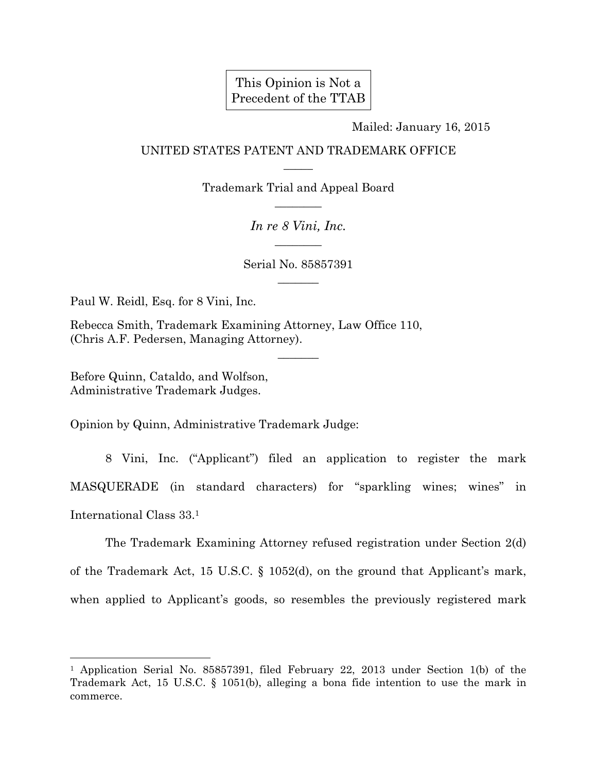## This Opinion is Not a Precedent of the TTAB

Mailed: January 16, 2015

## UNITED STATES PATENT AND TRADEMARK OFFICE  $\overline{\phantom{a}}$

Trademark Trial and Appeal Board  $\overline{\phantom{a}}$ 

> *In re 8 Vini, Inc.*   $\overline{\phantom{a}}$

Serial No. 85857391  $\overline{\phantom{a}}$ 

 $\overline{\phantom{a}}$ 

Paul W. Reidl, Esq. for 8 Vini, Inc.

Rebecca Smith, Trademark Examining Attorney, Law Office 110, (Chris A.F. Pedersen, Managing Attorney).

Before Quinn, Cataldo, and Wolfson, Administrative Trademark Judges.

l

Opinion by Quinn, Administrative Trademark Judge:

 8 Vini, Inc. ("Applicant") filed an application to register the mark MASQUERADE (in standard characters) for "sparkling wines; wines" in International Class 33.1

 The Trademark Examining Attorney refused registration under Section 2(d) of the Trademark Act, 15 U.S.C. § 1052(d), on the ground that Applicant's mark, when applied to Applicant's goods, so resembles the previously registered mark

<sup>1</sup> Application Serial No. 85857391, filed February 22, 2013 under Section 1(b) of the Trademark Act, 15 U.S.C. § 1051(b), alleging a bona fide intention to use the mark in commerce.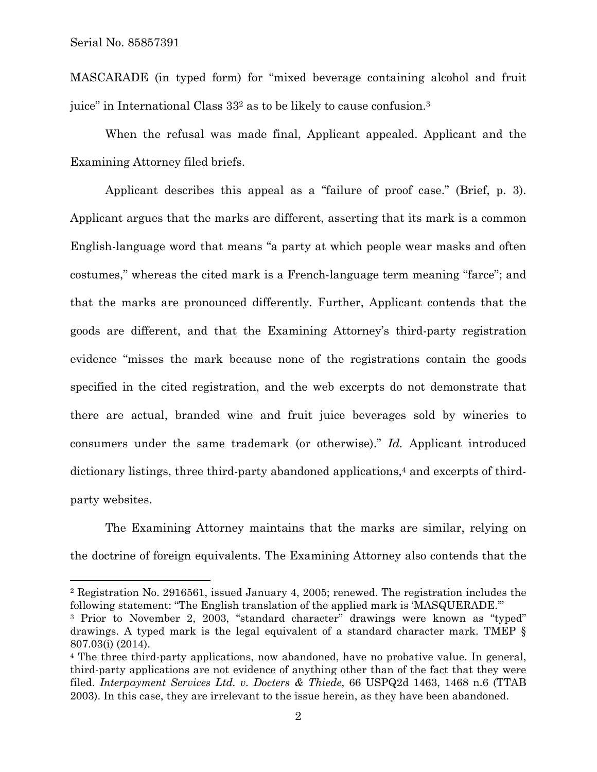$\overline{a}$ 

MASCARADE (in typed form) for "mixed beverage containing alcohol and fruit juice" in International Class 332 as to be likely to cause confusion.3

 When the refusal was made final, Applicant appealed. Applicant and the Examining Attorney filed briefs.

 Applicant describes this appeal as a "failure of proof case." (Brief, p. 3). Applicant argues that the marks are different, asserting that its mark is a common English-language word that means "a party at which people wear masks and often costumes," whereas the cited mark is a French-language term meaning "farce"; and that the marks are pronounced differently. Further, Applicant contends that the goods are different, and that the Examining Attorney's third-party registration evidence "misses the mark because none of the registrations contain the goods specified in the cited registration, and the web excerpts do not demonstrate that there are actual, branded wine and fruit juice beverages sold by wineries to consumers under the same trademark (or otherwise)." *Id.* Applicant introduced dictionary listings, three third-party abandoned applications,<sup>4</sup> and excerpts of thirdparty websites.

 The Examining Attorney maintains that the marks are similar, relying on the doctrine of foreign equivalents. The Examining Attorney also contends that the

<sup>2</sup> Registration No. 2916561, issued January 4, 2005; renewed. The registration includes the following statement: "The English translation of the applied mark is 'MASQUERADE.'"

<sup>&</sup>lt;sup>3</sup> Prior to November 2, 2003, "standard character" drawings were known as "typed" drawings. A typed mark is the legal equivalent of a standard character mark. TMEP § 807.03(i) (2014).

<sup>4</sup> The three third-party applications, now abandoned, have no probative value. In general, third-party applications are not evidence of anything other than of the fact that they were filed. *Interpayment Services Ltd. v. Docters & Thiede*, 66 USPQ2d 1463, 1468 n.6 (TTAB 2003). In this case, they are irrelevant to the issue herein, as they have been abandoned.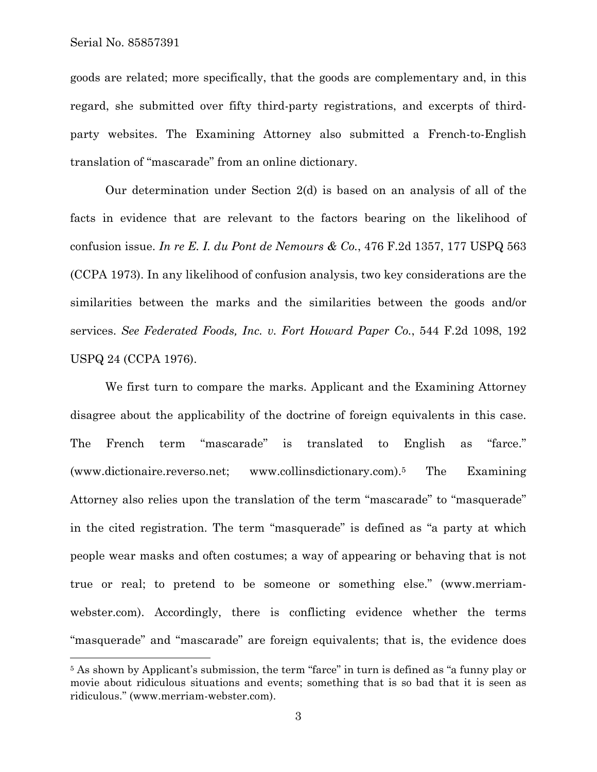l

goods are related; more specifically, that the goods are complementary and, in this regard, she submitted over fifty third-party registrations, and excerpts of thirdparty websites. The Examining Attorney also submitted a French-to-English translation of "mascarade" from an online dictionary.

 Our determination under Section 2(d) is based on an analysis of all of the facts in evidence that are relevant to the factors bearing on the likelihood of confusion issue. *In re E. I. du Pont de Nemours & Co.*, 476 F.2d 1357, 177 USPQ 563 (CCPA 1973). In any likelihood of confusion analysis, two key considerations are the similarities between the marks and the similarities between the goods and/or services. *See Federated Foods, Inc. v. Fort Howard Paper Co.*, 544 F.2d 1098, 192 USPQ 24 (CCPA 1976).

 We first turn to compare the marks. Applicant and the Examining Attorney disagree about the applicability of the doctrine of foreign equivalents in this case. The French term "mascarade" is translated to English as "farce." (www.dictionaire.reverso.net; www.collinsdictionary.com).5 The Examining Attorney also relies upon the translation of the term "mascarade" to "masquerade" in the cited registration. The term "masquerade" is defined as "a party at which people wear masks and often costumes; a way of appearing or behaving that is not true or real; to pretend to be someone or something else." (www.merriamwebster.com). Accordingly, there is conflicting evidence whether the terms "masquerade" and "mascarade" are foreign equivalents; that is, the evidence does

<sup>&</sup>lt;sup>5</sup> As shown by Applicant's submission, the term "farce" in turn is defined as "a funny play or movie about ridiculous situations and events; something that is so bad that it is seen as ridiculous." (www.merriam-webster.com).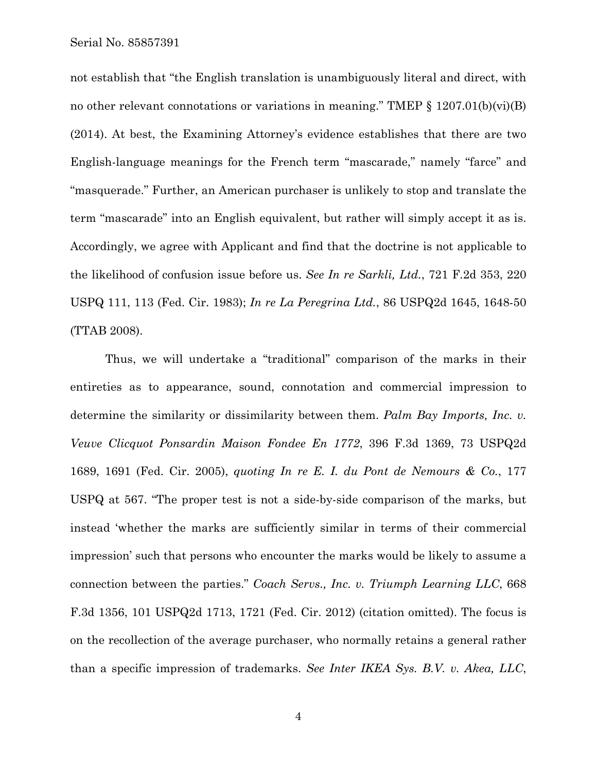Serial No. 85857391

not establish that "the English translation is unambiguously literal and direct, with no other relevant connotations or variations in meaning." TMEP  $\S$  1207.01(b)(vi)(B) (2014). At best, the Examining Attorney's evidence establishes that there are two English-language meanings for the French term "mascarade," namely "farce" and "masquerade." Further, an American purchaser is unlikely to stop and translate the term "mascarade" into an English equivalent, but rather will simply accept it as is. Accordingly, we agree with Applicant and find that the doctrine is not applicable to the likelihood of confusion issue before us. *See In re Sarkli, Ltd.*, 721 F.2d 353, 220 USPQ 111, 113 (Fed. Cir. 1983); *In re La Peregrina Ltd.*, 86 USPQ2d 1645, 1648-50 (TTAB 2008).

 Thus, we will undertake a "traditional" comparison of the marks in their entireties as to appearance, sound, connotation and commercial impression to determine the similarity or dissimilarity between them. *Palm Bay Imports, Inc. v. Veuve Clicquot Ponsardin Maison Fondee En 1772*, 396 F.3d 1369, 73 USPQ2d 1689, 1691 (Fed. Cir. 2005), *quoting In re E. I. du Pont de Nemours & Co.*, 177 USPQ at 567. "The proper test is not a side-by-side comparison of the marks, but instead 'whether the marks are sufficiently similar in terms of their commercial impression' such that persons who encounter the marks would be likely to assume a connection between the parties." *Coach Servs., Inc. v. Triumph Learning LLC*, 668 F.3d 1356, 101 USPQ2d 1713, 1721 (Fed. Cir. 2012) (citation omitted). The focus is on the recollection of the average purchaser, who normally retains a general rather than a specific impression of trademarks. *See Inter IKEA Sys. B.V. v. Akea, LLC*,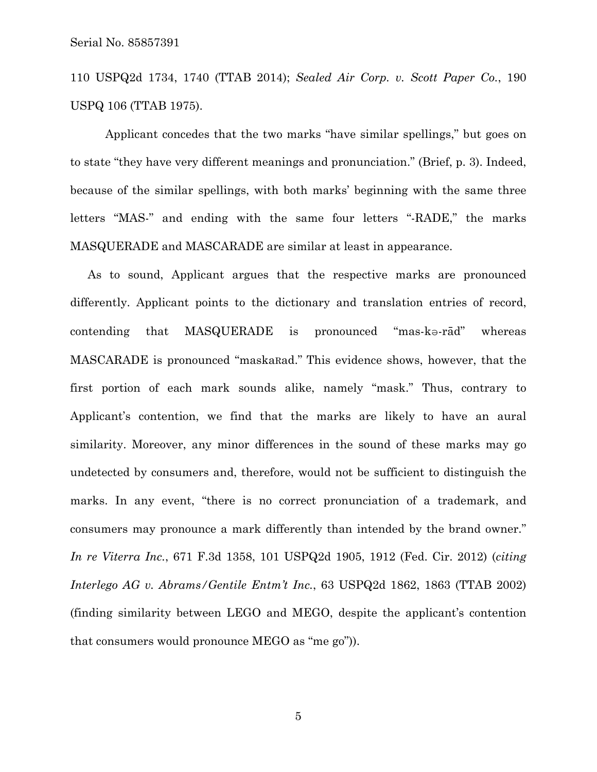110 USPQ2d 1734, 1740 (TTAB 2014); *Sealed Air Corp. v. Scott Paper Co.*, 190 USPQ 106 (TTAB 1975).

 Applicant concedes that the two marks "have similar spellings," but goes on to state "they have very different meanings and pronunciation." (Brief, p. 3). Indeed, because of the similar spellings, with both marks' beginning with the same three letters "MAS-" and ending with the same four letters "-RADE," the marks MASQUERADE and MASCARADE are similar at least in appearance.

As to sound, Applicant argues that the respective marks are pronounced differently. Applicant points to the dictionary and translation entries of record, contending that MASQUERADE is pronounced "mas-kə-rād" whereas MASCARADE is pronounced "maskaRad." This evidence shows, however, that the first portion of each mark sounds alike, namely "mask." Thus, contrary to Applicant's contention, we find that the marks are likely to have an aural similarity. Moreover, any minor differences in the sound of these marks may go undetected by consumers and, therefore, would not be sufficient to distinguish the marks. In any event, "there is no correct pronunciation of a trademark, and consumers may pronounce a mark differently than intended by the brand owner." *In re Viterra Inc.*, 671 F.3d 1358, 101 USPQ2d 1905, 1912 (Fed. Cir. 2012) (*citing Interlego AG v. Abrams/Gentile Entm't Inc.*, 63 USPQ2d 1862, 1863 (TTAB 2002) (finding similarity between LEGO and MEGO, despite the applicant's contention that consumers would pronounce MEGO as "me go")).

5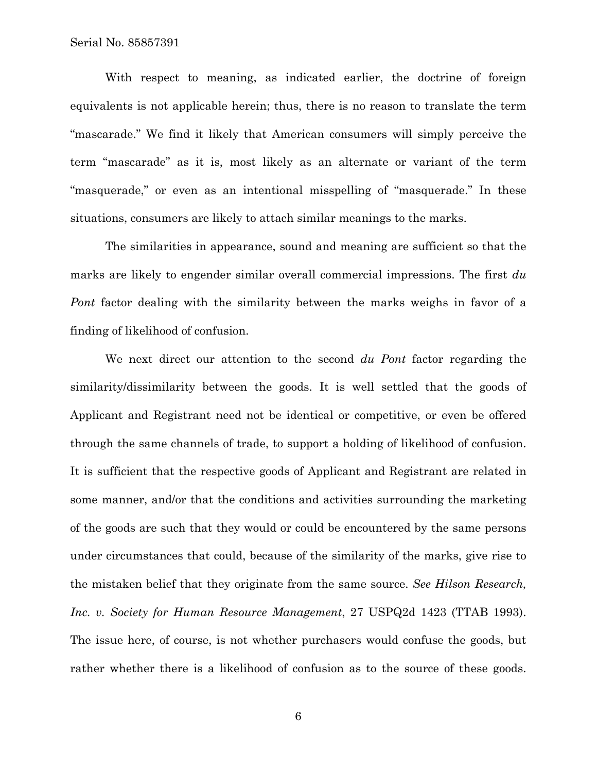With respect to meaning, as indicated earlier, the doctrine of foreign equivalents is not applicable herein; thus, there is no reason to translate the term "mascarade." We find it likely that American consumers will simply perceive the term "mascarade" as it is, most likely as an alternate or variant of the term "masquerade," or even as an intentional misspelling of "masquerade." In these situations, consumers are likely to attach similar meanings to the marks.

 The similarities in appearance, sound and meaning are sufficient so that the marks are likely to engender similar overall commercial impressions. The first *du Pont* factor dealing with the similarity between the marks weighs in favor of a finding of likelihood of confusion.

 We next direct our attention to the second *du Pont* factor regarding the similarity/dissimilarity between the goods. It is well settled that the goods of Applicant and Registrant need not be identical or competitive, or even be offered through the same channels of trade, to support a holding of likelihood of confusion. It is sufficient that the respective goods of Applicant and Registrant are related in some manner, and/or that the conditions and activities surrounding the marketing of the goods are such that they would or could be encountered by the same persons under circumstances that could, because of the similarity of the marks, give rise to the mistaken belief that they originate from the same source. *See Hilson Research, Inc. v. Society for Human Resource Management*, 27 USPQ2d 1423 (TTAB 1993). The issue here, of course, is not whether purchasers would confuse the goods, but rather whether there is a likelihood of confusion as to the source of these goods.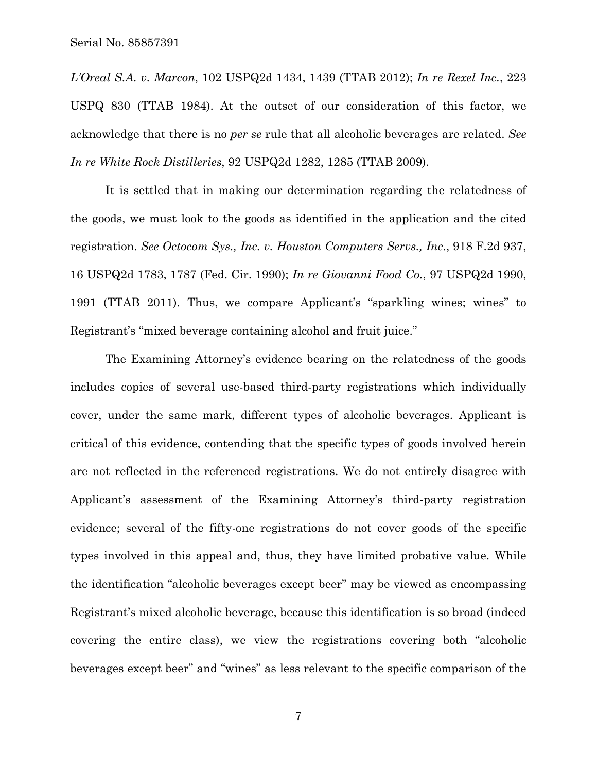*L'Oreal S.A. v. Marcon*, 102 USPQ2d 1434, 1439 (TTAB 2012); *In re Rexel Inc.*, 223 USPQ 830 (TTAB 1984). At the outset of our consideration of this factor, we acknowledge that there is no *per se* rule that all alcoholic beverages are related. *See In re White Rock Distilleries*, 92 USPQ2d 1282, 1285 (TTAB 2009).

 It is settled that in making our determination regarding the relatedness of the goods, we must look to the goods as identified in the application and the cited registration. *See Octocom Sys., Inc. v. Houston Computers Servs., Inc.*, 918 F.2d 937, 16 USPQ2d 1783, 1787 (Fed. Cir. 1990); *In re Giovanni Food Co.*, 97 USPQ2d 1990, 1991 (TTAB 2011). Thus, we compare Applicant's "sparkling wines; wines" to Registrant's "mixed beverage containing alcohol and fruit juice."

 The Examining Attorney's evidence bearing on the relatedness of the goods includes copies of several use-based third-party registrations which individually cover, under the same mark, different types of alcoholic beverages. Applicant is critical of this evidence, contending that the specific types of goods involved herein are not reflected in the referenced registrations. We do not entirely disagree with Applicant's assessment of the Examining Attorney's third-party registration evidence; several of the fifty-one registrations do not cover goods of the specific types involved in this appeal and, thus, they have limited probative value. While the identification "alcoholic beverages except beer" may be viewed as encompassing Registrant's mixed alcoholic beverage, because this identification is so broad (indeed covering the entire class), we view the registrations covering both "alcoholic beverages except beer" and "wines" as less relevant to the specific comparison of the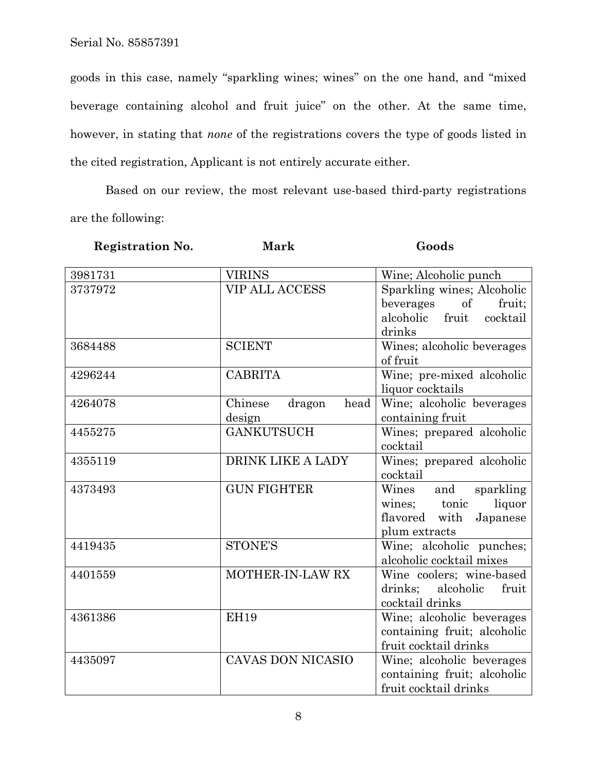Serial No. 85857391

goods in this case, namely "sparkling wines; wines" on the one hand, and "mixed beverage containing alcohol and fruit juice" on the other. At the same time, however, in stating that *none* of the registrations covers the type of goods listed in the cited registration, Applicant is not entirely accurate either.

 Based on our review, the most relevant use-based third-party registrations are the following:

| <b>Registration No.</b> | <b>Mark</b>               | Goods                                     |
|-------------------------|---------------------------|-------------------------------------------|
| 3981731                 | <b>VIRINS</b>             | Wine; Alcoholic punch                     |
| 3737972                 | <b>VIP ALL ACCESS</b>     | Sparkling wines; Alcoholic                |
|                         |                           | beverages<br>$\sigma f$<br>fruit;         |
|                         |                           | alcoholic<br>fruit<br>cocktail            |
|                         |                           | drinks                                    |
| 3684488                 | <b>SCIENT</b>             | Wines; alcoholic beverages                |
|                         |                           | of fruit                                  |
| 4296244                 | <b>CABRITA</b>            | Wine; pre-mixed alcoholic                 |
|                         |                           | liquor cocktails                          |
| 4264078                 | Chinese<br>dragon<br>head | Wine; alcoholic beverages                 |
|                         | design                    | containing fruit                          |
| 4455275                 | <b>GANKUTSUCH</b>         | Wines; prepared alcoholic                 |
|                         |                           | cocktail                                  |
| 4355119                 | DRINK LIKE A LADY         | Wines; prepared alcoholic                 |
|                         |                           | cocktail                                  |
| 4373493                 | <b>GUN FIGHTER</b>        | Wines<br>sparkling<br>and                 |
|                         |                           | liquor<br>tonic<br>wines;                 |
|                         |                           | flavored with<br>Japanese                 |
| 4419435                 | <b>STONE'S</b>            | plum extracts<br>Wine; alcoholic punches; |
|                         |                           | alcoholic cocktail mixes                  |
| 4401559                 | MOTHER-IN-LAW RX          | Wine coolers; wine-based                  |
|                         |                           | drinks:<br>alcoholic<br>fruit             |
|                         |                           | cocktail drinks                           |
| 4361386                 | <b>EH19</b>               | Wine; alcoholic beverages                 |
|                         |                           | containing fruit; alcoholic               |
|                         |                           | fruit cocktail drinks                     |
| 4435097                 | <b>CAVAS DON NICASIO</b>  | Wine; alcoholic beverages                 |
|                         |                           | containing fruit; alcoholic               |
|                         |                           | fruit cocktail drinks                     |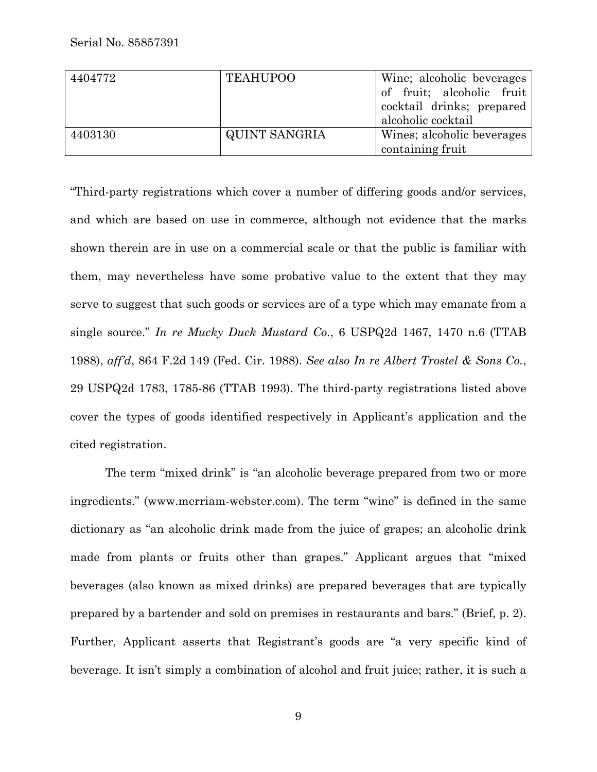| 4404772 | <b>TEAHUPOO</b> | Wine; alcoholic beverages  |
|---------|-----------------|----------------------------|
|         |                 | of fruit; alcoholic fruit  |
|         |                 | cocktail drinks; prepared  |
|         |                 | alcoholic cocktail         |
| 4403130 | QUINT SANGRIA   | Wines; alcoholic beverages |
|         |                 | containing fruit           |

"Third-party registrations which cover a number of differing goods and/or services, and which are based on use in commerce, although not evidence that the marks shown therein are in use on a commercial scale or that the public is familiar with them, may nevertheless have some probative value to the extent that they may serve to suggest that such goods or services are of a type which may emanate from a single source." *In re Mucky Duck Mustard Co.*, 6 USPQ2d 1467, 1470 n.6 (TTAB 1988), *aff'd*, 864 F.2d 149 (Fed. Cir. 1988). *See also In re Albert Trostel & Sons Co.*, 29 USPQ2d 1783, 1785-86 (TTAB 1993). The third-party registrations listed above cover the types of goods identified respectively in Applicant's application and the cited registration.

 The term "mixed drink" is "an alcoholic beverage prepared from two or more ingredients." (www.merriam-webster.com). The term "wine" is defined in the same dictionary as "an alcoholic drink made from the juice of grapes; an alcoholic drink made from plants or fruits other than grapes." Applicant argues that "mixed beverages (also known as mixed drinks) are prepared beverages that are typically prepared by a bartender and sold on premises in restaurants and bars." (Brief, p. 2). Further, Applicant asserts that Registrant's goods are "a very specific kind of beverage. It isn't simply a combination of alcohol and fruit juice; rather, it is such a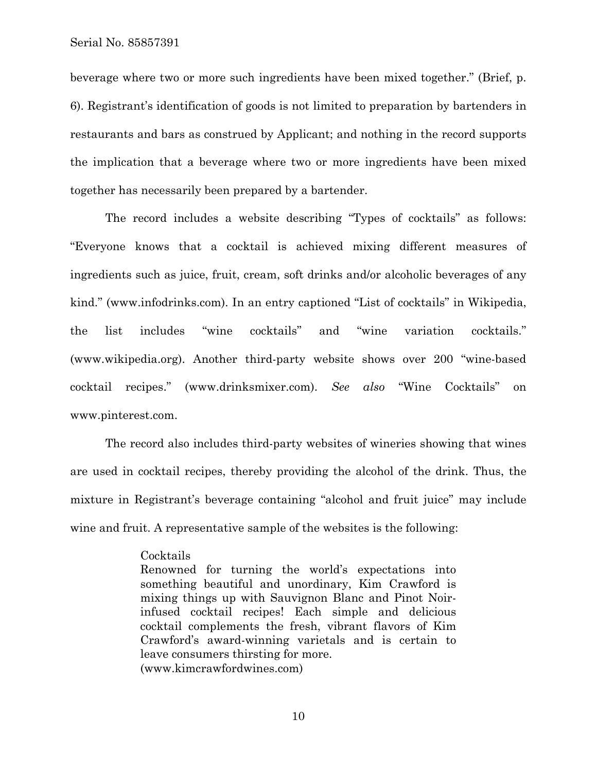Serial No. 85857391

beverage where two or more such ingredients have been mixed together." (Brief, p. 6). Registrant's identification of goods is not limited to preparation by bartenders in restaurants and bars as construed by Applicant; and nothing in the record supports the implication that a beverage where two or more ingredients have been mixed together has necessarily been prepared by a bartender.

 The record includes a website describing "Types of cocktails" as follows: "Everyone knows that a cocktail is achieved mixing different measures of ingredients such as juice, fruit, cream, soft drinks and/or alcoholic beverages of any kind." (www.infodrinks.com). In an entry captioned "List of cocktails" in Wikipedia, the list includes "wine cocktails" and "wine variation cocktails." (www.wikipedia.org). Another third-party website shows over 200 "wine-based cocktail recipes." (www.drinksmixer.com). *See also* "Wine Cocktails" on www.pinterest.com.

 The record also includes third-party websites of wineries showing that wines are used in cocktail recipes, thereby providing the alcohol of the drink. Thus, the mixture in Registrant's beverage containing "alcohol and fruit juice" may include wine and fruit. A representative sample of the websites is the following:

## Cocktails

Renowned for turning the world's expectations into something beautiful and unordinary, Kim Crawford is mixing things up with Sauvignon Blanc and Pinot Noirinfused cocktail recipes! Each simple and delicious cocktail complements the fresh, vibrant flavors of Kim Crawford's award-winning varietals and is certain to leave consumers thirsting for more. (www.kimcrawfordwines.com)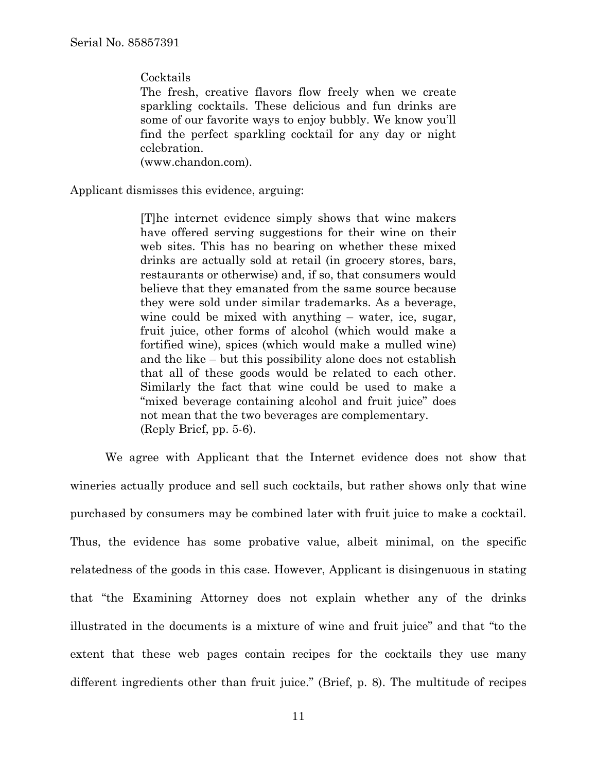**Cocktails** 

The fresh, creative flavors flow freely when we create sparkling cocktails. These delicious and fun drinks are some of our favorite ways to enjoy bubbly. We know you'll find the perfect sparkling cocktail for any day or night celebration.

(www.chandon.com).

Applicant dismisses this evidence, arguing:

[T]he internet evidence simply shows that wine makers have offered serving suggestions for their wine on their web sites. This has no bearing on whether these mixed drinks are actually sold at retail (in grocery stores, bars, restaurants or otherwise) and, if so, that consumers would believe that they emanated from the same source because they were sold under similar trademarks. As a beverage, wine could be mixed with anything – water, ice, sugar, fruit juice, other forms of alcohol (which would make a fortified wine), spices (which would make a mulled wine) and the like – but this possibility alone does not establish that all of these goods would be related to each other. Similarly the fact that wine could be used to make a "mixed beverage containing alcohol and fruit juice" does not mean that the two beverages are complementary. (Reply Brief, pp. 5-6).

 We agree with Applicant that the Internet evidence does not show that wineries actually produce and sell such cocktails, but rather shows only that wine purchased by consumers may be combined later with fruit juice to make a cocktail. Thus, the evidence has some probative value, albeit minimal, on the specific relatedness of the goods in this case. However, Applicant is disingenuous in stating that "the Examining Attorney does not explain whether any of the drinks illustrated in the documents is a mixture of wine and fruit juice" and that "to the extent that these web pages contain recipes for the cocktails they use many different ingredients other than fruit juice." (Brief, p. 8). The multitude of recipes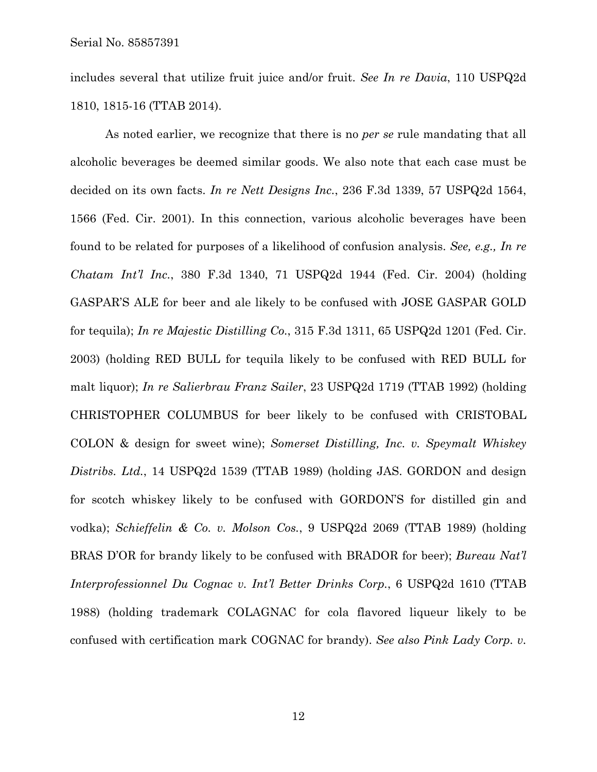includes several that utilize fruit juice and/or fruit. *See In re Davia*, 110 USPQ2d 1810, 1815-16 (TTAB 2014).

 As noted earlier, we recognize that there is no *per se* rule mandating that all alcoholic beverages be deemed similar goods. We also note that each case must be decided on its own facts. *In re Nett Designs Inc.*, 236 F.3d 1339, 57 USPQ2d 1564, 1566 (Fed. Cir. 2001). In this connection, various alcoholic beverages have been found to be related for purposes of a likelihood of confusion analysis. *See, e.g., In re Chatam Int'l Inc.*, 380 F.3d 1340, 71 USPQ2d 1944 (Fed. Cir. 2004) (holding GASPAR'S ALE for beer and ale likely to be confused with JOSE GASPAR GOLD for tequila); *In re Majestic Distilling Co.*, 315 F.3d 1311, 65 USPQ2d 1201 (Fed. Cir. 2003) (holding RED BULL for tequila likely to be confused with RED BULL for malt liquor); *In re Salierbrau Franz Sailer*, 23 USPQ2d 1719 (TTAB 1992) (holding CHRISTOPHER COLUMBUS for beer likely to be confused with CRISTOBAL COLON & design for sweet wine); *Somerset Distilling, Inc. v. Speymalt Whiskey Distribs. Ltd.*, 14 USPQ2d 1539 (TTAB 1989) (holding JAS. GORDON and design for scotch whiskey likely to be confused with GORDON'S for distilled gin and vodka); *Schieffelin & Co. v. Molson Cos.*, 9 USPQ2d 2069 (TTAB 1989) (holding BRAS D'OR for brandy likely to be confused with BRADOR for beer); *Bureau Nat'l Interprofessionnel Du Cognac v. Int'l Better Drinks Corp.*, 6 USPQ2d 1610 (TTAB 1988) (holding trademark COLAGNAC for cola flavored liqueur likely to be confused with certification mark COGNAC for brandy). *See also Pink Lady Corp. v.*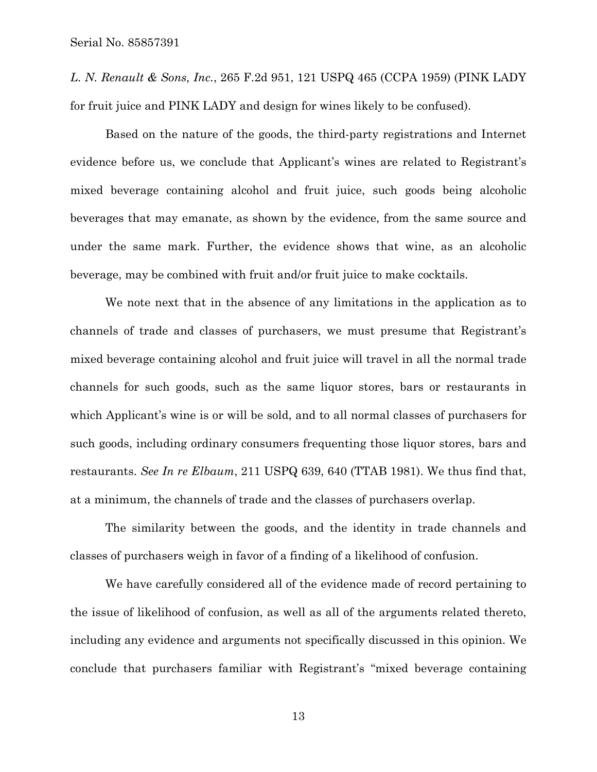*L. N. Renault & Sons, Inc.*, 265 F.2d 951, 121 USPQ 465 (CCPA 1959) (PINK LADY for fruit juice and PINK LADY and design for wines likely to be confused).

 Based on the nature of the goods, the third-party registrations and Internet evidence before us, we conclude that Applicant's wines are related to Registrant's mixed beverage containing alcohol and fruit juice, such goods being alcoholic beverages that may emanate, as shown by the evidence, from the same source and under the same mark. Further, the evidence shows that wine, as an alcoholic beverage, may be combined with fruit and/or fruit juice to make cocktails.

 We note next that in the absence of any limitations in the application as to channels of trade and classes of purchasers, we must presume that Registrant's mixed beverage containing alcohol and fruit juice will travel in all the normal trade channels for such goods, such as the same liquor stores, bars or restaurants in which Applicant's wine is or will be sold, and to all normal classes of purchasers for such goods, including ordinary consumers frequenting those liquor stores, bars and restaurants. *See In re Elbaum*, 211 USPQ 639, 640 (TTAB 1981). We thus find that, at a minimum, the channels of trade and the classes of purchasers overlap.

 The similarity between the goods, and the identity in trade channels and classes of purchasers weigh in favor of a finding of a likelihood of confusion.

 We have carefully considered all of the evidence made of record pertaining to the issue of likelihood of confusion, as well as all of the arguments related thereto, including any evidence and arguments not specifically discussed in this opinion. We conclude that purchasers familiar with Registrant's "mixed beverage containing

13